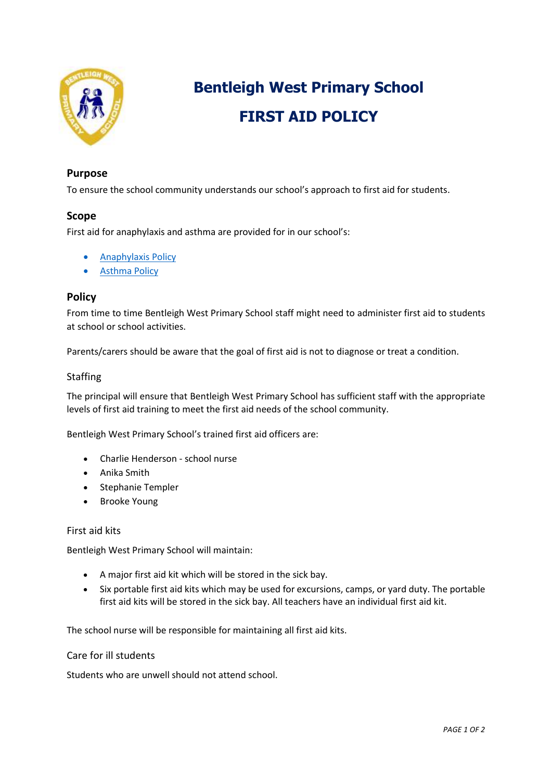

# **Bentleigh West Primary School FIRST AID POLICY**

# **Purpose**

To ensure the school community understands our school's approach to first aid for students.

## **Scope**

First aid for anaphylaxis and asthma are provided for in our school's:

- **•** [Anaphylaxis Policy](https://www.bentleighwestps.vic.edu.au/our-policies)
- [Asthma Policy](https://www.bentleighwestps.vic.edu.au/our-policies)

# **Policy**

From time to time Bentleigh West Primary School staff might need to administer first aid to students at school or school activities.

Parents/carers should be aware that the goal of first aid is not to diagnose or treat a condition.

## Staffing

The principal will ensure that Bentleigh West Primary School has sufficient staff with the appropriate levels of first aid training to meet the first aid needs of the school community.

Bentleigh West Primary School's trained first aid officers are:

- Charlie Henderson school nurse
- Anika Smith
- Stephanie Templer
- Brooke Young

#### First aid kits

Bentleigh West Primary School will maintain:

- A major first aid kit which will be stored in the sick bay.
- Six portable first aid kits which may be used for excursions, camps, or yard duty. The portable first aid kits will be stored in the sick bay. All teachers have an individual first aid kit.

The school nurse will be responsible for maintaining all first aid kits.

#### Care for ill students

Students who are unwell should not attend school.